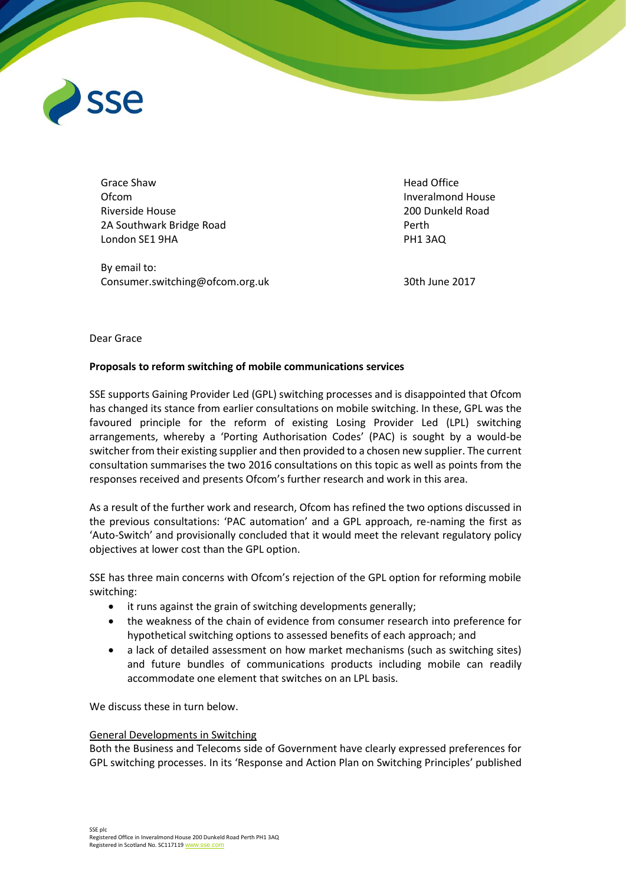

Grace Shaw Ofcom Riverside House 2A Southwark Bridge Road London SE1 9HA

By email to: Consumer.switching@ofcom.org.uk Head Office Inveralmond House 200 Dunkeld Road Perth PH1 3AQ

30th June 2017

### Dear Grace

# **Proposals to reform switching of mobile communications services**

SSE supports Gaining Provider Led (GPL) switching processes and is disappointed that Ofcom has changed its stance from earlier consultations on mobile switching. In these, GPL was the favoured principle for the reform of existing Losing Provider Led (LPL) switching arrangements, whereby a 'Porting Authorisation Codes' (PAC) is sought by a would-be switcher from their existing supplier and then provided to a chosen new supplier. The current consultation summarises the two 2016 consultations on this topic as well as points from the responses received and presents Ofcom's further research and work in this area.

As a result of the further work and research, Ofcom has refined the two options discussed in the previous consultations: 'PAC automation' and a GPL approach, re-naming the first as 'Auto-Switch' and provisionally concluded that it would meet the relevant regulatory policy objectives at lower cost than the GPL option.

SSE has three main concerns with Ofcom's rejection of the GPL option for reforming mobile switching:

- it runs against the grain of switching developments generally;
- the weakness of the chain of evidence from consumer research into preference for hypothetical switching options to assessed benefits of each approach; and
- a lack of detailed assessment on how market mechanisms (such as switching sites) and future bundles of communications products including mobile can readily accommodate one element that switches on an LPL basis.

We discuss these in turn below.

### General Developments in Switching

Both the Business and Telecoms side of Government have clearly expressed preferences for GPL switching processes. In its 'Response and Action Plan on Switching Principles' published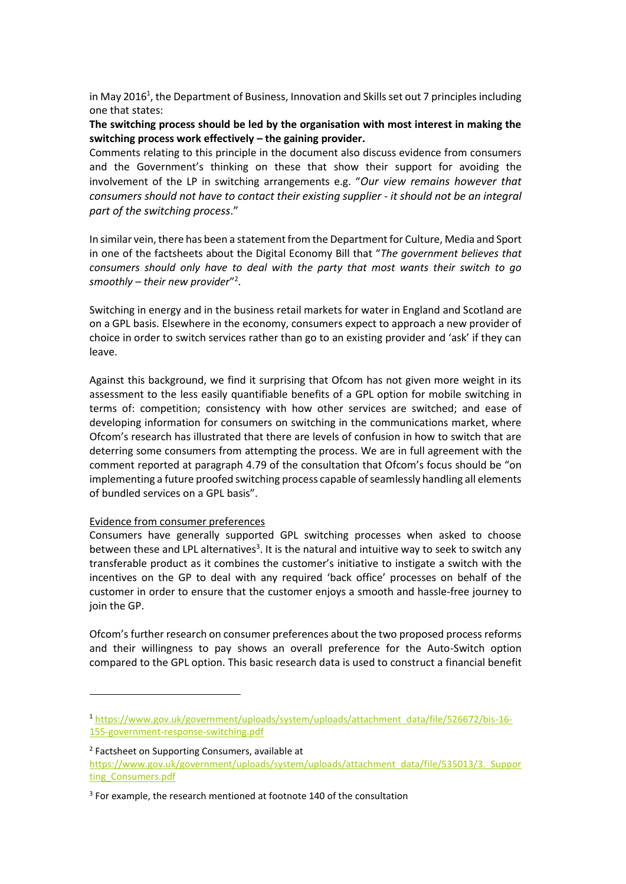in May 2016<sup>1</sup>, the Department of Business, Innovation and Skills set out 7 principles including one that states:

**The switching process should be led by the organisation with most interest in making the switching process work effectively – the gaining provider.** 

Comments relating to this principle in the document also discuss evidence from consumers and the Government's thinking on these that show their support for avoiding the involvement of the LP in switching arrangements e.g. "*Our view remains however that consumers should not have to contact their existing supplier - it should not be an integral part of the switching process*."

In similar vein, there has been a statement from the Department for Culture, Media and Sport in one of the factsheets about the Digital Economy Bill that "*The government believes that consumers should only have to deal with the party that most wants their switch to go smoothly – their new provider*" 2 .

Switching in energy and in the business retail markets for water in England and Scotland are on a GPL basis. Elsewhere in the economy, consumers expect to approach a new provider of choice in order to switch services rather than go to an existing provider and 'ask' if they can leave.

Against this background, we find it surprising that Ofcom has not given more weight in its assessment to the less easily quantifiable benefits of a GPL option for mobile switching in terms of: competition; consistency with how other services are switched; and ease of developing information for consumers on switching in the communications market, where Ofcom's research has illustrated that there are levels of confusion in how to switch that are deterring some consumers from attempting the process. We are in full agreement with the comment reported at paragraph 4.79 of the consultation that Ofcom's focus should be "on implementing a future proofed switching process capable of seamlessly handling all elements of bundled services on a GPL basis".

### Evidence from consumer preferences

**.** 

Consumers have generally supported GPL switching processes when asked to choose between these and LPL alternatives<sup>3</sup>. It is the natural and intuitive way to seek to switch any transferable product as it combines the customer's initiative to instigate a switch with the incentives on the GP to deal with any required 'back office' processes on behalf of the customer in order to ensure that the customer enjoys a smooth and hassle-free journey to join the GP.

Ofcom's further research on consumer preferences about the two proposed process reforms and their willingness to pay shows an overall preference for the Auto-Switch option compared to the GPL option. This basic research data is used to construct a financial benefit

<sup>1</sup> [https://www.gov.uk/government/uploads/system/uploads/attachment\\_data/file/526672/bis-16-](https://www.gov.uk/government/uploads/system/uploads/attachment_data/file/526672/bis-16-155-government-response-switching.pdf) [155-government-response-switching.pdf](https://www.gov.uk/government/uploads/system/uploads/attachment_data/file/526672/bis-16-155-government-response-switching.pdf)

<sup>2</sup> Factsheet on Supporting Consumers, available at https://www.gov.uk/government/uploads/system/uploads/attachment\_data/file/535013/3. Suppor [ting\\_Consumers.pdf](https://www.gov.uk/government/uploads/system/uploads/attachment_data/file/535013/3._Supporting_Consumers.pdf)

<sup>&</sup>lt;sup>3</sup> For example, the research mentioned at footnote 140 of the consultation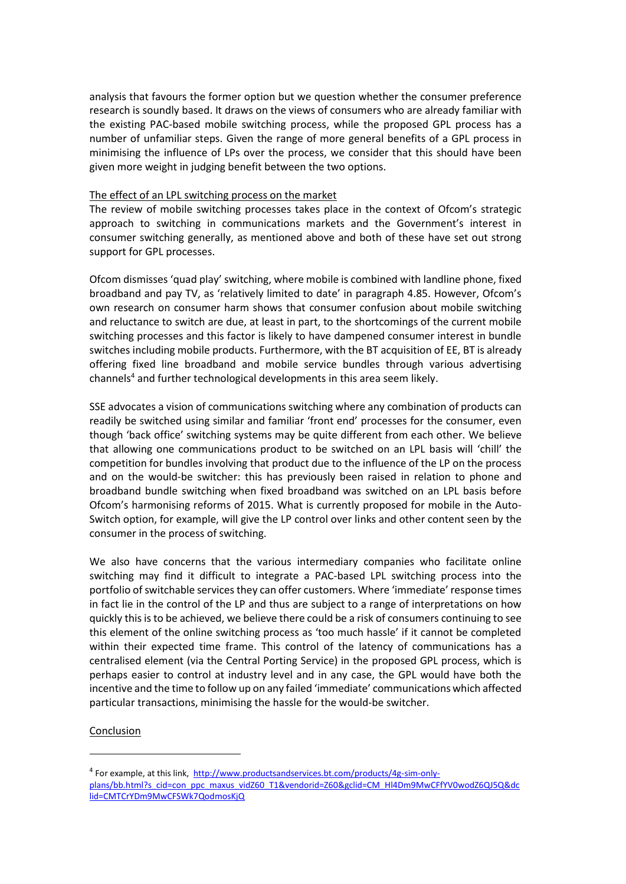analysis that favours the former option but we question whether the consumer preference research is soundly based. It draws on the views of consumers who are already familiar with the existing PAC-based mobile switching process, while the proposed GPL process has a number of unfamiliar steps. Given the range of more general benefits of a GPL process in minimising the influence of LPs over the process, we consider that this should have been given more weight in judging benefit between the two options.

### The effect of an LPL switching process on the market

The review of mobile switching processes takes place in the context of Ofcom's strategic approach to switching in communications markets and the Government's interest in consumer switching generally, as mentioned above and both of these have set out strong support for GPL processes.

Ofcom dismisses 'quad play' switching, where mobile is combined with landline phone, fixed broadband and pay TV, as 'relatively limited to date' in paragraph 4.85. However, Ofcom's own research on consumer harm shows that consumer confusion about mobile switching and reluctance to switch are due, at least in part, to the shortcomings of the current mobile switching processes and this factor is likely to have dampened consumer interest in bundle switches including mobile products. Furthermore, with the BT acquisition of EE, BT is already offering fixed line broadband and mobile service bundles through various advertising channels<sup>4</sup> and further technological developments in this area seem likely.

SSE advocates a vision of communications switching where any combination of products can readily be switched using similar and familiar 'front end' processes for the consumer, even though 'back office' switching systems may be quite different from each other. We believe that allowing one communications product to be switched on an LPL basis will 'chill' the competition for bundles involving that product due to the influence of the LP on the process and on the would-be switcher: this has previously been raised in relation to phone and broadband bundle switching when fixed broadband was switched on an LPL basis before Ofcom's harmonising reforms of 2015. What is currently proposed for mobile in the Auto-Switch option, for example, will give the LP control over links and other content seen by the consumer in the process of switching.

We also have concerns that the various intermediary companies who facilitate online switching may find it difficult to integrate a PAC-based LPL switching process into the portfolio of switchable services they can offer customers. Where 'immediate' response times in fact lie in the control of the LP and thus are subject to a range of interpretations on how quickly this is to be achieved, we believe there could be a risk of consumers continuing to see this element of the online switching process as 'too much hassle' if it cannot be completed within their expected time frame. This control of the latency of communications has a centralised element (via the Central Porting Service) in the proposed GPL process, which is perhaps easier to control at industry level and in any case, the GPL would have both the incentive and the time to follow up on any failed 'immediate' communications which affected particular transactions, minimising the hassle for the would-be switcher.

### Conclusion

1

<sup>&</sup>lt;sup>4</sup> For example, at this link, [http://www.productsandservices.bt.com/products/4g-sim-only](http://www.productsandservices.bt.com/products/4g-sim-only-plans/bb.html?s_cid=con_ppc_maxus_vidZ60_T1&vendorid=Z60&gclid=CM_Hl4Dm9MwCFfYV0wodZ6QJ5Q&dclid=CMTCrYDm9MwCFSWk7QodmosKjQ)[plans/bb.html?s\\_cid=con\\_ppc\\_maxus\\_vidZ60\\_T1&vendorid=Z60&gclid=CM\\_Hl4Dm9MwCFfYV0wodZ6QJ5Q&dc](http://www.productsandservices.bt.com/products/4g-sim-only-plans/bb.html?s_cid=con_ppc_maxus_vidZ60_T1&vendorid=Z60&gclid=CM_Hl4Dm9MwCFfYV0wodZ6QJ5Q&dclid=CMTCrYDm9MwCFSWk7QodmosKjQ) [lid=CMTCrYDm9MwCFSWk7QodmosKjQ](http://www.productsandservices.bt.com/products/4g-sim-only-plans/bb.html?s_cid=con_ppc_maxus_vidZ60_T1&vendorid=Z60&gclid=CM_Hl4Dm9MwCFfYV0wodZ6QJ5Q&dclid=CMTCrYDm9MwCFSWk7QodmosKjQ)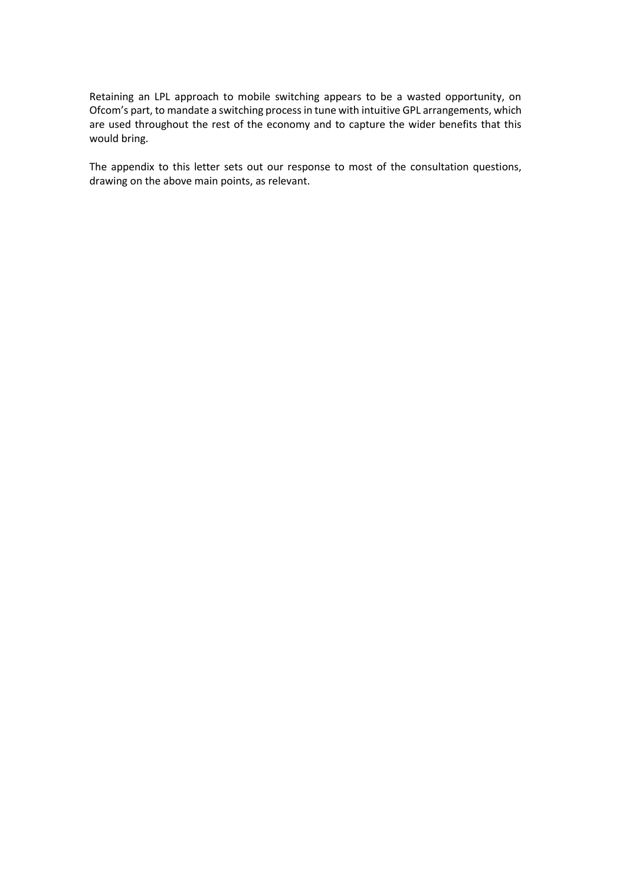Retaining an LPL approach to mobile switching appears to be a wasted opportunity, on Ofcom's part, to mandate a switching process in tune with intuitive GPL arrangements, which are used throughout the rest of the economy and to capture the wider benefits that this would bring.

The appendix to this letter sets out our response to most of the consultation questions, drawing on the above main points, as relevant.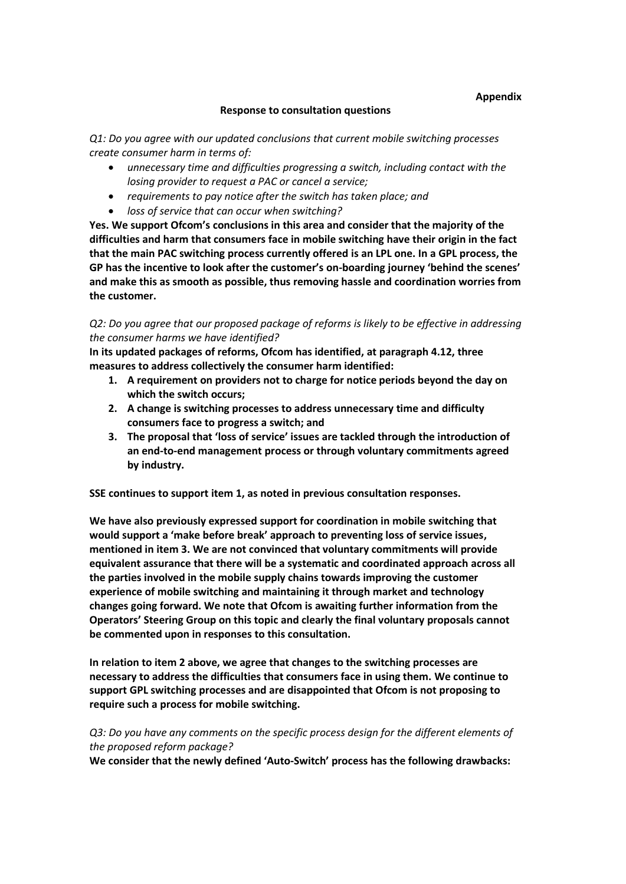### **Response to consultation questions**

*Q1: Do you agree with our updated conclusions that current mobile switching processes create consumer harm in terms of:* 

- *unnecessary time and difficulties progressing a switch, including contact with the losing provider to request a PAC or cancel a service;*
- *requirements to pay notice after the switch has taken place; and*
- *loss of service that can occur when switching?*

**Yes. We support Ofcom's conclusions in this area and consider that the majority of the difficulties and harm that consumers face in mobile switching have their origin in the fact that the main PAC switching process currently offered is an LPL one. In a GPL process, the GP has the incentive to look after the customer's on-boarding journey 'behind the scenes' and make this as smooth as possible, thus removing hassle and coordination worries from the customer.**

# *Q2: Do you agree that our proposed package of reforms is likely to be effective in addressing the consumer harms we have identified?*

**In its updated packages of reforms, Ofcom has identified, at paragraph 4.12, three measures to address collectively the consumer harm identified:**

- **1. A requirement on providers not to charge for notice periods beyond the day on which the switch occurs;**
- **2. A change is switching processes to address unnecessary time and difficulty consumers face to progress a switch; and**
- **3. The proposal that 'loss of service' issues are tackled through the introduction of an end-to-end management process or through voluntary commitments agreed by industry.**

**SSE continues to support item 1, as noted in previous consultation responses.** 

**We have also previously expressed support for coordination in mobile switching that would support a 'make before break' approach to preventing loss of service issues, mentioned in item 3. We are not convinced that voluntary commitments will provide equivalent assurance that there will be a systematic and coordinated approach across all the parties involved in the mobile supply chains towards improving the customer experience of mobile switching and maintaining it through market and technology changes going forward. We note that Ofcom is awaiting further information from the Operators' Steering Group on this topic and clearly the final voluntary proposals cannot be commented upon in responses to this consultation.**

**In relation to item 2 above, we agree that changes to the switching processes are necessary to address the difficulties that consumers face in using them. We continue to support GPL switching processes and are disappointed that Ofcom is not proposing to require such a process for mobile switching.**

# *Q3: Do you have any comments on the specific process design for the different elements of the proposed reform package?*

**We consider that the newly defined 'Auto-Switch' process has the following drawbacks:**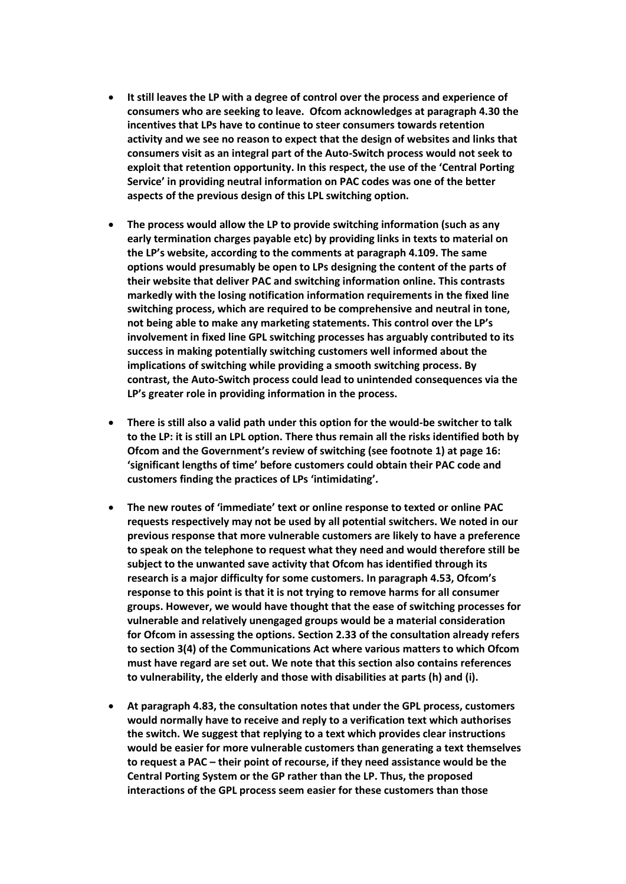- **It still leaves the LP with a degree of control over the process and experience of consumers who are seeking to leave. Ofcom acknowledges at paragraph 4.30 the incentives that LPs have to continue to steer consumers towards retention activity and we see no reason to expect that the design of websites and links that consumers visit as an integral part of the Auto-Switch process would not seek to exploit that retention opportunity. In this respect, the use of the 'Central Porting Service' in providing neutral information on PAC codes was one of the better aspects of the previous design of this LPL switching option.**
- **The process would allow the LP to provide switching information (such as any early termination charges payable etc) by providing links in texts to material on the LP's website, according to the comments at paragraph 4.109. The same options would presumably be open to LPs designing the content of the parts of their website that deliver PAC and switching information online. This contrasts markedly with the losing notification information requirements in the fixed line switching process, which are required to be comprehensive and neutral in tone, not being able to make any marketing statements. This control over the LP's involvement in fixed line GPL switching processes has arguably contributed to its success in making potentially switching customers well informed about the implications of switching while providing a smooth switching process. By contrast, the Auto-Switch process could lead to unintended consequences via the LP's greater role in providing information in the process.**
- **There is still also a valid path under this option for the would-be switcher to talk to the LP: it is still an LPL option. There thus remain all the risks identified both by Ofcom and the Government's review of switching (see footnote 1) at page 16: 'significant lengths of time' before customers could obtain their PAC code and customers finding the practices of LPs 'intimidating'.**
- **The new routes of 'immediate' text or online response to texted or online PAC requests respectively may not be used by all potential switchers. We noted in our previous response that more vulnerable customers are likely to have a preference to speak on the telephone to request what they need and would therefore still be subject to the unwanted save activity that Ofcom has identified through its research is a major difficulty for some customers. In paragraph 4.53, Ofcom's response to this point is that it is not trying to remove harms for all consumer groups. However, we would have thought that the ease of switching processes for vulnerable and relatively unengaged groups would be a material consideration for Ofcom in assessing the options. Section 2.33 of the consultation already refers to section 3(4) of the Communications Act where various matters to which Ofcom must have regard are set out. We note that this section also contains references to vulnerability, the elderly and those with disabilities at parts (h) and (i).**
- **At paragraph 4.83, the consultation notes that under the GPL process, customers would normally have to receive and reply to a verification text which authorises the switch. We suggest that replying to a text which provides clear instructions would be easier for more vulnerable customers than generating a text themselves to request a PAC – their point of recourse, if they need assistance would be the Central Porting System or the GP rather than the LP. Thus, the proposed interactions of the GPL process seem easier for these customers than those**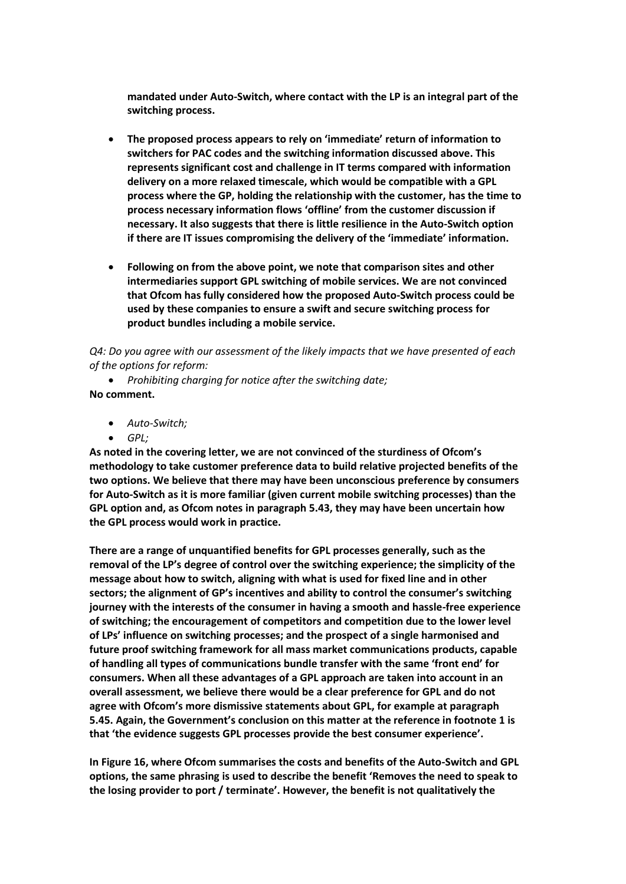**mandated under Auto-Switch, where contact with the LP is an integral part of the switching process.**

- **The proposed process appears to rely on 'immediate' return of information to switchers for PAC codes and the switching information discussed above. This represents significant cost and challenge in IT terms compared with information delivery on a more relaxed timescale, which would be compatible with a GPL process where the GP, holding the relationship with the customer, has the time to process necessary information flows 'offline' from the customer discussion if necessary. It also suggests that there is little resilience in the Auto-Switch option if there are IT issues compromising the delivery of the 'immediate' information.**
- **Following on from the above point, we note that comparison sites and other intermediaries support GPL switching of mobile services. We are not convinced that Ofcom has fully considered how the proposed Auto-Switch process could be used by these companies to ensure a swift and secure switching process for product bundles including a mobile service.**

*Q4: Do you agree with our assessment of the likely impacts that we have presented of each of the options for reform:* 

• *Prohibiting charging for notice after the switching date;*  **No comment.**

- *Auto-Switch;*
- *GPL;*

**As noted in the covering letter, we are not convinced of the sturdiness of Ofcom's methodology to take customer preference data to build relative projected benefits of the two options. We believe that there may have been unconscious preference by consumers for Auto-Switch as it is more familiar (given current mobile switching processes) than the GPL option and, as Ofcom notes in paragraph 5.43, they may have been uncertain how the GPL process would work in practice.**

**There are a range of unquantified benefits for GPL processes generally, such as the removal of the LP's degree of control over the switching experience; the simplicity of the message about how to switch, aligning with what is used for fixed line and in other sectors; the alignment of GP's incentives and ability to control the consumer's switching journey with the interests of the consumer in having a smooth and hassle-free experience of switching; the encouragement of competitors and competition due to the lower level of LPs' influence on switching processes; and the prospect of a single harmonised and future proof switching framework for all mass market communications products, capable of handling all types of communications bundle transfer with the same 'front end' for consumers. When all these advantages of a GPL approach are taken into account in an overall assessment, we believe there would be a clear preference for GPL and do not agree with Ofcom's more dismissive statements about GPL, for example at paragraph 5.45. Again, the Government's conclusion on this matter at the reference in footnote 1 is that 'the evidence suggests GPL processes provide the best consumer experience'.**

**In Figure 16, where Ofcom summarises the costs and benefits of the Auto-Switch and GPL options, the same phrasing is used to describe the benefit 'Removes the need to speak to the losing provider to port / terminate'. However, the benefit is not qualitatively the**